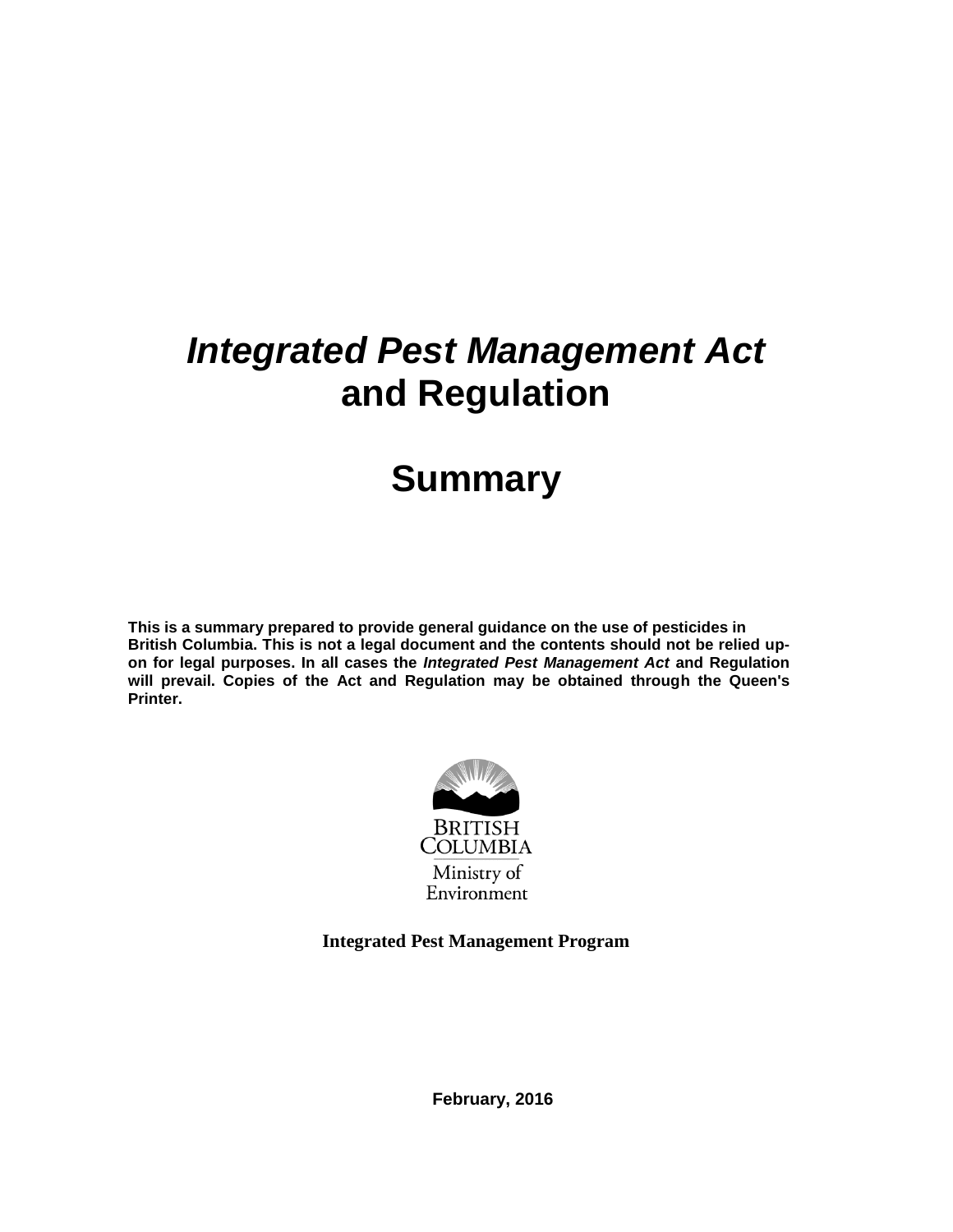# *Integrated Pest Management Act* **and Regulation**

# **Summary**

**This is a summary prepared to provide general guidance on the use of pesticides in British Columbia. This is not a legal document and the contents should not be relied upon for legal purposes. In all cases the** *Integrated Pest Management Act* **and Regulation will prevail. Copies of the Act and Regulation may be obtained through the Queen's Printer.**



**Integrated Pest Management Program**

**February, 2016**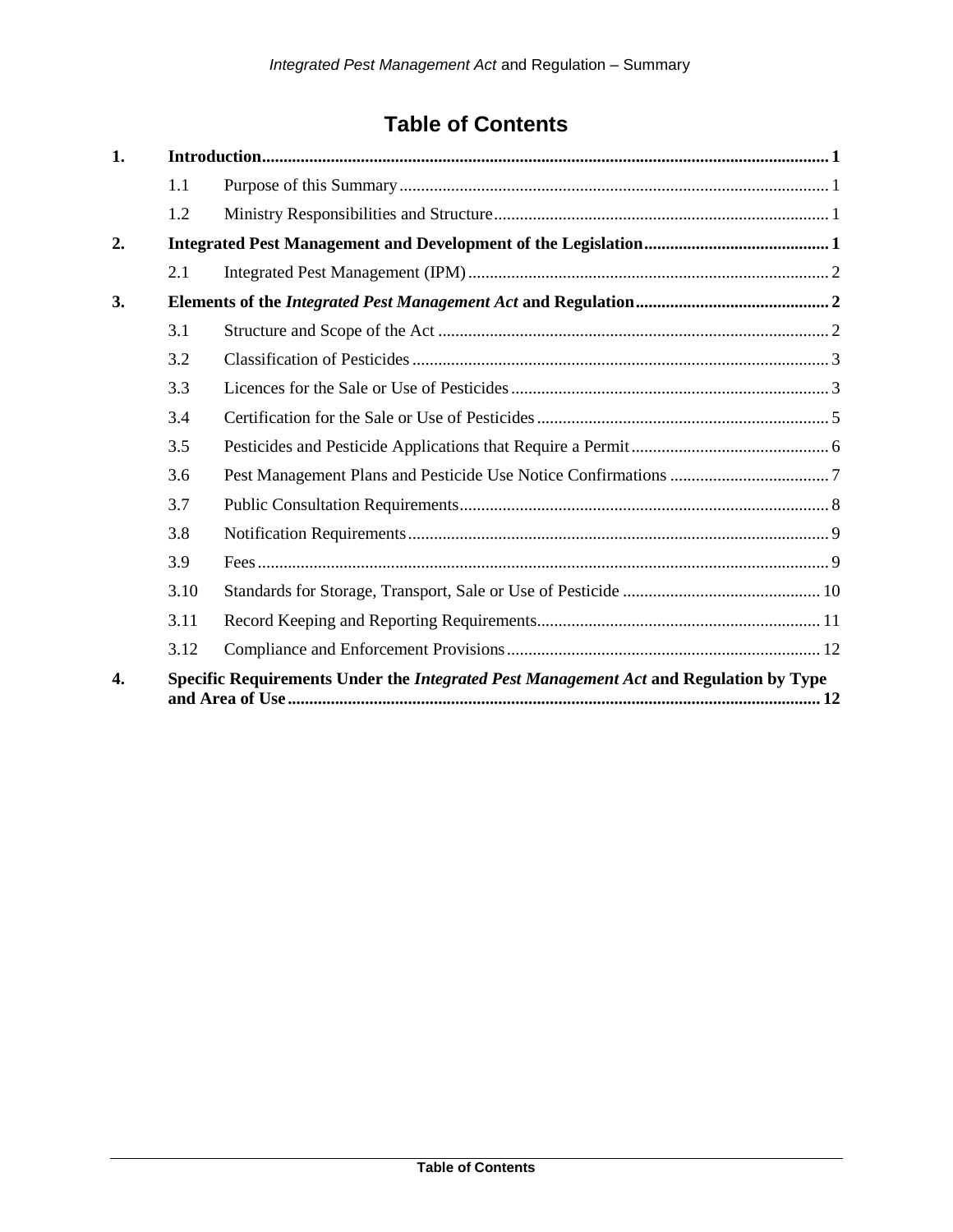# **Table of Contents**

| 1.               |      |                                                                                              |  |  |  |  |
|------------------|------|----------------------------------------------------------------------------------------------|--|--|--|--|
|                  | 1.1  |                                                                                              |  |  |  |  |
|                  | 1.2  |                                                                                              |  |  |  |  |
| 2.               |      |                                                                                              |  |  |  |  |
|                  | 2.1  |                                                                                              |  |  |  |  |
| 3.               |      |                                                                                              |  |  |  |  |
|                  | 3.1  |                                                                                              |  |  |  |  |
|                  | 3.2  |                                                                                              |  |  |  |  |
|                  | 3.3  |                                                                                              |  |  |  |  |
|                  | 3.4  |                                                                                              |  |  |  |  |
|                  | 3.5  |                                                                                              |  |  |  |  |
|                  | 3.6  |                                                                                              |  |  |  |  |
|                  | 3.7  |                                                                                              |  |  |  |  |
|                  | 3.8  |                                                                                              |  |  |  |  |
|                  | 3.9  |                                                                                              |  |  |  |  |
|                  | 3.10 |                                                                                              |  |  |  |  |
|                  | 3.11 |                                                                                              |  |  |  |  |
|                  | 3.12 |                                                                                              |  |  |  |  |
| $\overline{4}$ . |      | Specific Requirements Under the <i>Integrated Pest Management Act</i> and Regulation by Type |  |  |  |  |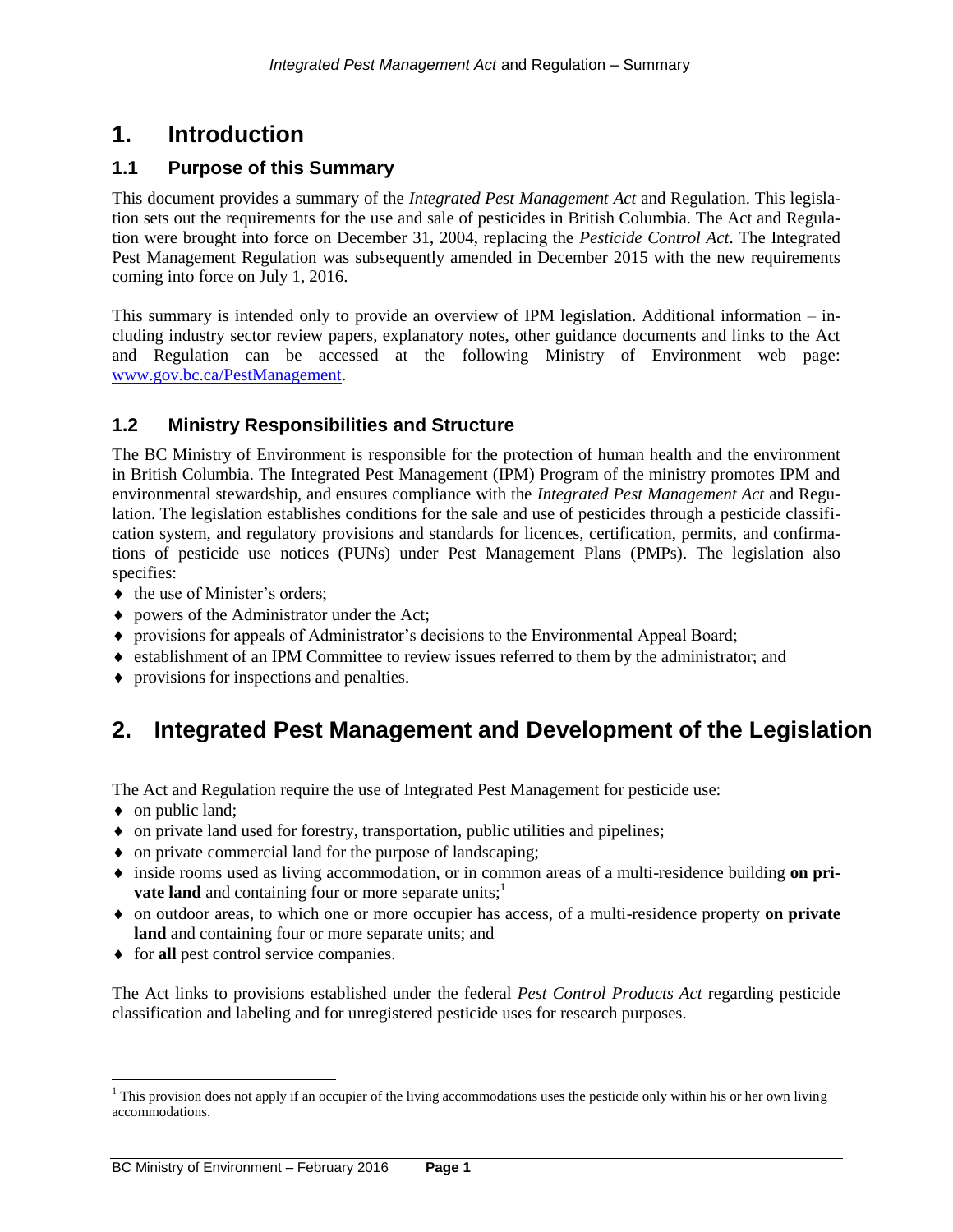# <span id="page-2-0"></span>**1. Introduction**

# <span id="page-2-1"></span>**1.1 Purpose of this Summary**

This document provides a summary of the *Integrated Pest Management Act* and Regulation. This legislation sets out the requirements for the use and sale of pesticides in British Columbia. The Act and Regulation were brought into force on December 31, 2004, replacing the *Pesticide Control Act*. The Integrated Pest Management Regulation was subsequently amended in December 2015 with the new requirements coming into force on July 1, 2016.

This summary is intended only to provide an overview of IPM legislation. Additional information – including industry sector review papers, explanatory notes, other guidance documents and links to the Act and Regulation can be accessed at the following Ministry of Environment web page: [www.gov.bc.ca/PestManagement.](http://www.gov.bc.ca/PestManagement)

# <span id="page-2-2"></span>**1.2 Ministry Responsibilities and Structure**

The BC Ministry of Environment is responsible for the protection of human health and the environment in British Columbia. The Integrated Pest Management (IPM) Program of the ministry promotes IPM and environmental stewardship, and ensures compliance with the *Integrated Pest Management Act* and Regulation. The legislation establishes conditions for the sale and use of pesticides through a pesticide classification system, and regulatory provisions and standards for licences, certification, permits, and confirmations of pesticide use notices (PUNs) under Pest Management Plans (PMPs). The legislation also specifies:

- $\bullet$  the use of Minister's orders;
- powers of the Administrator under the Act;
- provisions for appeals of Administrator's decisions to the Environmental Appeal Board;
- establishment of an IPM Committee to review issues referred to them by the administrator; and
- provisions for inspections and penalties.

# <span id="page-2-3"></span>**2. Integrated Pest Management and Development of the Legislation**

The Act and Regulation require the use of Integrated Pest Management for pesticide use:

• on public land;

l

- on private land used for forestry, transportation, public utilities and pipelines;
- on private commercial land for the purpose of landscaping;
- inside rooms used as living accommodation, or in common areas of a multi-residence building **on private land** and containing four or more separate units;<sup>1</sup>
- on outdoor areas, to which one or more occupier has access, of a multi-residence property **on private land** and containing four or more separate units; and
- **for all pest control service companies.**

The Act links to provisions established under the federal *Pest Control Products Act* regarding pesticide classification and labeling and for unregistered pesticide uses for research purposes.

 $<sup>1</sup>$  This provision does not apply if an occupier of the living accommodations uses the pesticide only within his or her own living</sup> accommodations.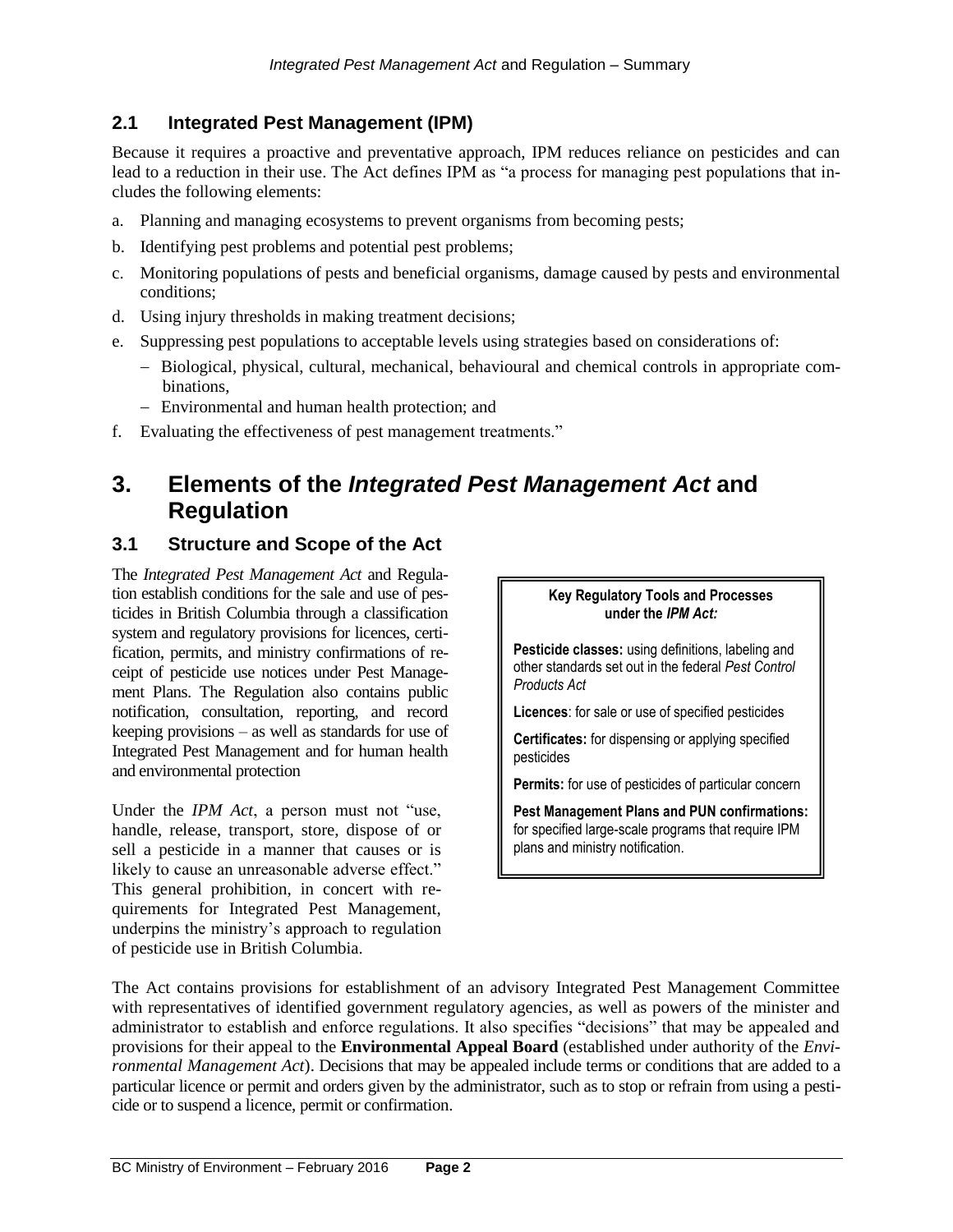# <span id="page-3-0"></span>**2.1 Integrated Pest Management (IPM)**

Because it requires a proactive and preventative approach, IPM reduces reliance on pesticides and can lead to a reduction in their use. The Act defines IPM as "a process for managing pest populations that includes the following elements:

- a. Planning and managing ecosystems to prevent organisms from becoming pests;
- b. Identifying pest problems and potential pest problems;
- c. Monitoring populations of pests and beneficial organisms, damage caused by pests and environmental conditions;
- d. Using injury thresholds in making treatment decisions;
- e. Suppressing pest populations to acceptable levels using strategies based on considerations of:
	- Biological, physical, cultural, mechanical, behavioural and chemical controls in appropriate combinations,
	- Environmental and human health protection; and
- f. Evaluating the effectiveness of pest management treatments."

# <span id="page-3-1"></span>**3. Elements of the** *Integrated Pest Management Act* **and Regulation**

# <span id="page-3-2"></span>**3.1 Structure and Scope of the Act**

The *Integrated Pest Management Act* and Regulation establish conditions for the sale and use of pesticides in British Columbia through a classification system and regulatory provisions for licences, certification, permits, and ministry confirmations of receipt of pesticide use notices under Pest Management Plans. The Regulation also contains public notification, consultation, reporting, and record keeping provisions – as well as standards for use of Integrated Pest Management and for human health and environmental protection

Under the *IPM Act*, a person must not "use, handle, release, transport, store, dispose of or sell a pesticide in a manner that causes or is likely to cause an unreasonable adverse effect." This general prohibition, in concert with requirements for Integrated Pest Management, underpins the ministry's approach to regulation of pesticide use in British Columbia.

# **Key Regulatory Tools and Processes under the** *IPM Act:* **Pesticide classes:** using definitions, labeling and other standards set out in the federal *Pest Control Products Act*

**Licences**: for sale or use of specified pesticides

**Certificates:** for dispensing or applying specified pesticides

**Permits:** for use of pesticides of particular concern

**Pest Management Plans and PUN confirmations:** for specified large-scale programs that require IPM plans and ministry notification.

The Act contains provisions for establishment of an advisory Integrated Pest Management Committee with representatives of identified government regulatory agencies, as well as powers of the minister and administrator to establish and enforce regulations. It also specifies "decisions" that may be appealed and provisions for their appeal to the **Environmental Appeal Board** (established under authority of the *Environmental Management Act*). Decisions that may be appealed include terms or conditions that are added to a particular licence or permit and orders given by the administrator, such as to stop or refrain from using a pesticide or to suspend a licence, permit or confirmation.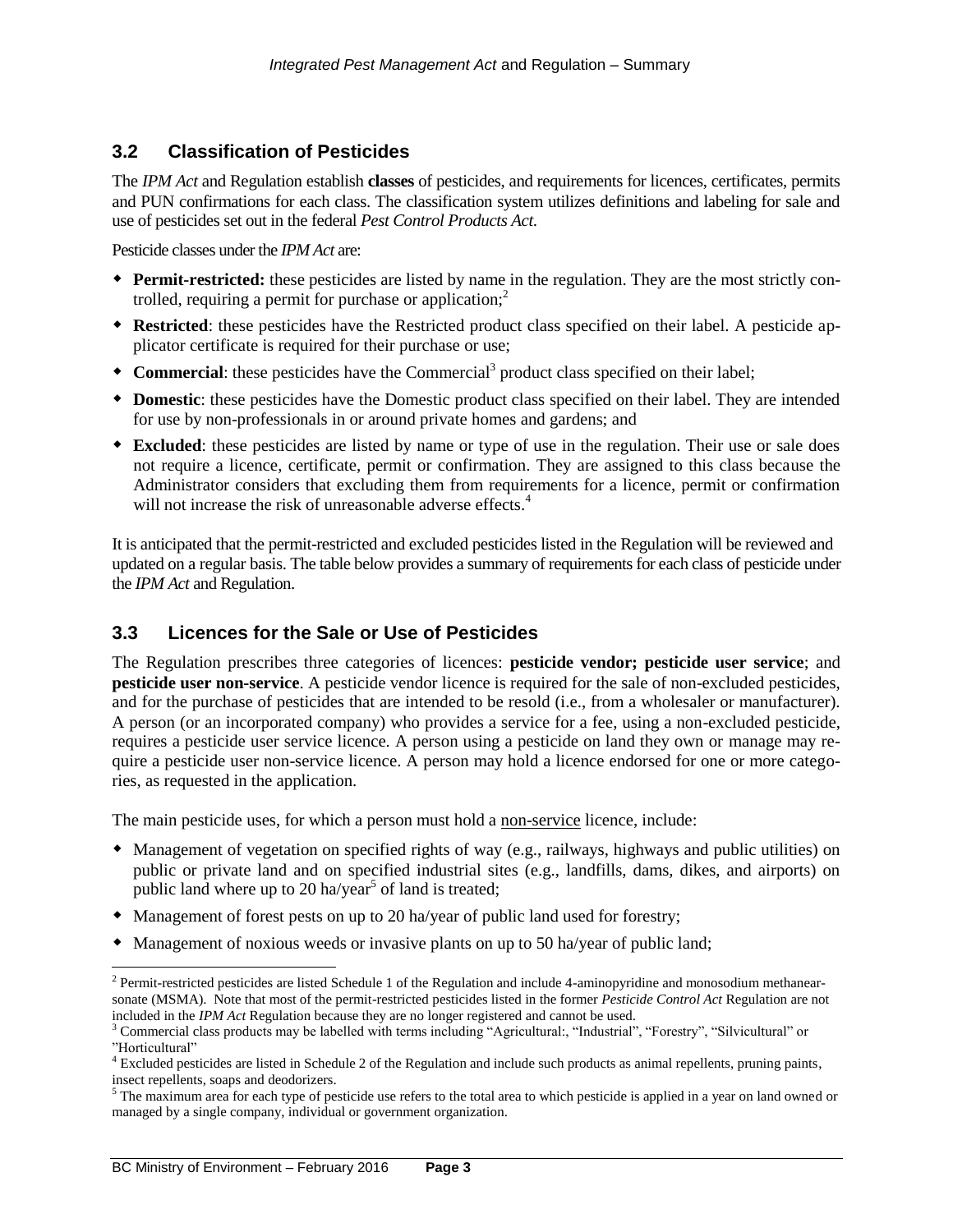# <span id="page-4-0"></span>**3.2 Classification of Pesticides**

The *IPM Act* and Regulation establish **classes** of pesticides, and requirements for licences, certificates, permits and PUN confirmations for each class. The classification system utilizes definitions and labeling for sale and use of pesticides set out in the federal *Pest Control Products Act*.

Pesticide classes under the *IPM Act* are:

- **Permit-restricted:** these pesticides are listed by name in the regulation. They are the most strictly controlled, requiring a permit for purchase or application; $<sup>2</sup>$ </sup>
- **Restricted**: these pesticides have the Restricted product class specified on their label. A pesticide applicator certificate is required for their purchase or use;
- Commercial: these pesticides have the Commercial<sup>3</sup> product class specified on their label;
- **Domestic**: these pesticides have the Domestic product class specified on their label. They are intended for use by non-professionals in or around private homes and gardens; and
- **Excluded**: these pesticides are listed by name or type of use in the regulation. Their use or sale does not require a licence, certificate, permit or confirmation. They are assigned to this class because the Administrator considers that excluding them from requirements for a licence, permit or confirmation will not increase the risk of unreasonable adverse effects.<sup>4</sup>

It is anticipated that the permit-restricted and excluded pesticides listed in the Regulation will be reviewed and updated on a regular basis. The table below provides a summary of requirements for each class of pesticide under the *IPM Act* and Regulation.

### <span id="page-4-1"></span>**3.3 Licences for the Sale or Use of Pesticides**

The Regulation prescribes three categories of licences: **pesticide vendor; pesticide user service**; and **pesticide user non-service**. A pesticide vendor licence is required for the sale of non-excluded pesticides, and for the purchase of pesticides that are intended to be resold (i.e., from a wholesaler or manufacturer). A person (or an incorporated company) who provides a service for a fee, using a non-excluded pesticide, requires a pesticide user service licence. A person using a pesticide on land they own or manage may require a pesticide user non-service licence. A person may hold a licence endorsed for one or more categories, as requested in the application.

The main pesticide uses, for which a person must hold a non-service licence, include:

- Management of vegetation on specified rights of way (e.g., railways, highways and public utilities) on public or private land and on specified industrial sites (e.g., landfills, dams, dikes, and airports) on public land where up to 20 ha/year<sup>5</sup> of land is treated;
- Management of forest pests on up to 20 ha/year of public land used for forestry;
- Management of noxious weeds or invasive plants on up to 50 ha/year of public land;

 $2$  Permit-restricted pesticides are listed Schedule 1 of the Regulation and include 4-aminopyridine and monosodium methanearsonate (MSMA). Note that most of the permit-restricted pesticides listed in the former *Pesticide Control Act* Regulation are not included in the *IPM Act* Regulation because they are no longer registered and cannot be used.

<sup>&</sup>lt;sup>3</sup> Commercial class products may be labelled with terms including "Agricultural:, "Industrial", "Forestry", "Silvicultural" or "Horticultural"

<sup>&</sup>lt;sup>4</sup> Excluded pesticides are listed in Schedule 2 of the Regulation and include such products as animal repellents, pruning paints, insect repellents, soaps and deodorizers.

<sup>&</sup>lt;sup>5</sup> The maximum area for each type of pesticide use refers to the total area to which pesticide is applied in a year on land owned or managed by a single company, individual or government organization.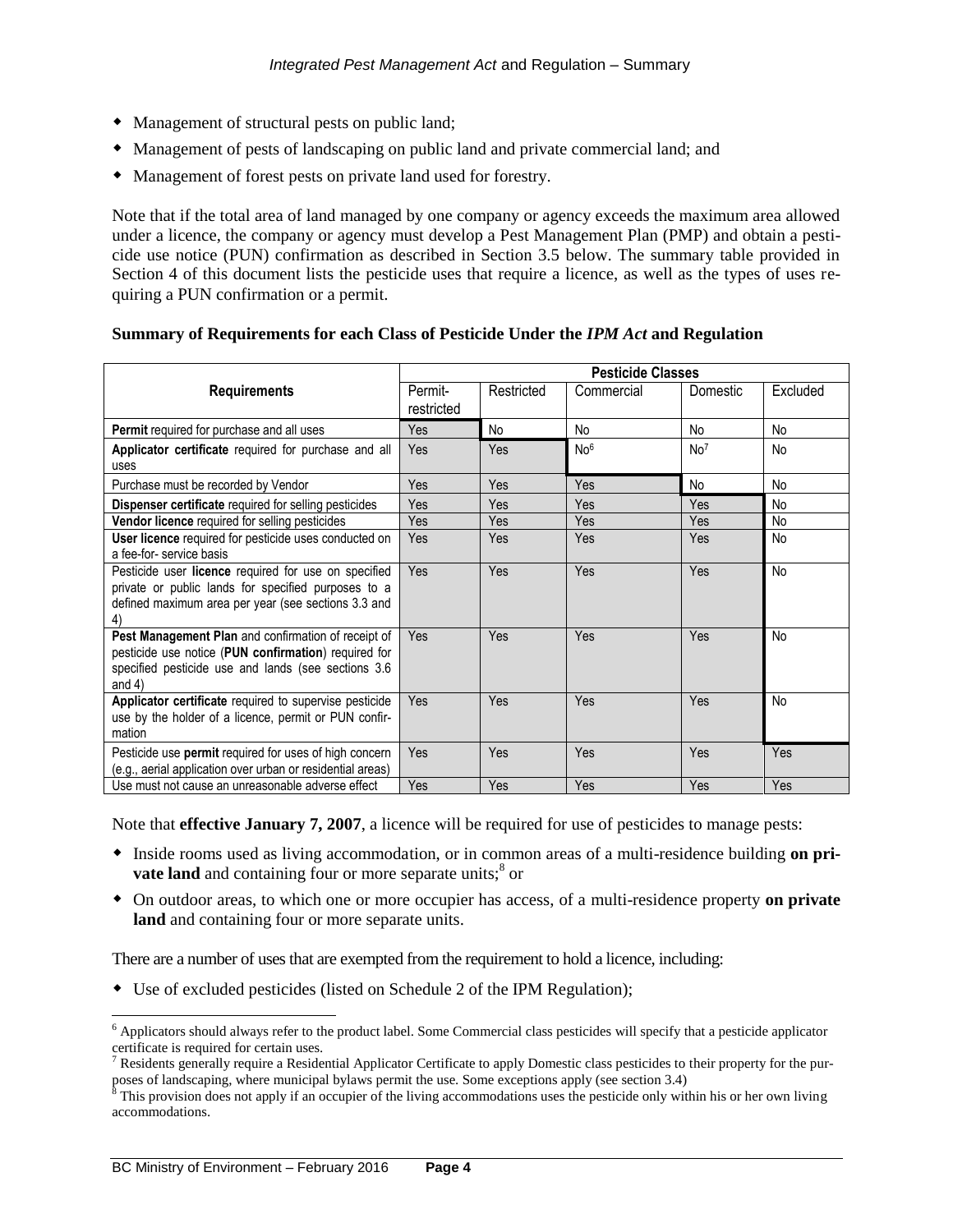- Management of structural pests on public land;
- Management of pests of landscaping on public land and private commercial land; and
- Management of forest pests on private land used for forestry.

Note that if the total area of land managed by one company or agency exceeds the maximum area allowed under a licence, the company or agency must develop a Pest Management Plan (PMP) and obtain a pesticide use notice (PUN) confirmation as described in Section 3.5 below. The summary table provided in Section 4 of this document lists the pesticide uses that require a licence, as well as the types of uses requiring a PUN confirmation or a permit.

|                                                                                                                                                                                 | <b>Pesticide Classes</b> |            |                 |                 |          |  |
|---------------------------------------------------------------------------------------------------------------------------------------------------------------------------------|--------------------------|------------|-----------------|-----------------|----------|--|
| <b>Requirements</b>                                                                                                                                                             | Permit-<br>restricted    | Restricted | Commercial      | Domestic        | Excluded |  |
| Permit required for purchase and all uses                                                                                                                                       | Yes                      | No         | No              | <b>No</b>       | No       |  |
| Applicator certificate required for purchase and all<br>uses                                                                                                                    | <b>Yes</b>               | Yes        | No <sup>6</sup> | No <sup>7</sup> | No       |  |
| Purchase must be recorded by Vendor                                                                                                                                             | Yes                      | Yes        | Yes             | No              | No       |  |
| Dispenser certificate required for selling pesticides                                                                                                                           | Yes                      | Yes        | Yes             | Yes             | No       |  |
| <b>Vendor licence</b> required for selling pesticides                                                                                                                           | Yes                      | Yes        | Yes             | Yes             | No       |  |
| User licence required for pesticide uses conducted on<br>a fee-for-service basis                                                                                                | Yes                      | Yes        | Yes             | Yes             | No       |  |
| Pesticide user licence required for use on specified<br>private or public lands for specified purposes to a<br>defined maximum area per year (see sections 3.3 and              | Yes                      | Yes        | Yes             | Yes             | No       |  |
| Pest Management Plan and confirmation of receipt of<br>pesticide use notice (PUN confirmation) required for<br>specified pesticide use and lands (see sections 3.6)<br>and $4)$ | Yes                      | Yes        | Yes             | Yes             | No       |  |
| Applicator certificate required to supervise pesticide<br>use by the holder of a licence, permit or PUN confir-<br>mation                                                       | Yes                      | Yes        | Yes             | Yes             | No       |  |
| Pesticide use permit required for uses of high concern<br>(e.g., aerial application over urban or residential areas)                                                            | Yes                      | Yes        | Yes             | Yes             | Yes      |  |
| Use must not cause an unreasonable adverse effect                                                                                                                               | Yes                      | Yes        | Yes             | Yes             | Yes      |  |

#### **Summary of Requirements for each Class of Pesticide Under the** *IPM Act* **and Regulation**

Note that **effective January 7, 2007**, a licence will be required for use of pesticides to manage pests:

- Inside rooms used as living accommodation, or in common areas of a multi-residence building **on private land** and containing four or more separate units;<sup>8</sup> or
- On outdoor areas, to which one or more occupier has access, of a multi-residence property **on private land** and containing four or more separate units.

There are a number of uses that are exempted from the requirement to hold a licence, including:

Use of excluded pesticides (listed on Schedule 2 of the IPM Regulation);

 $6$  Applicators should always refer to the product label. Some Commercial class pesticides will specify that a pesticide applicator certificate is required for certain uses.

<sup>&</sup>lt;sup>7</sup> Residents generally require a Residential Applicator Certificate to apply Domestic class pesticides to their property for the purposes of landscaping, where municipal bylaws permit the use. Some exceptions apply (see section 3.4)

 $8$  This provision does not apply if an occupier of the living accommodations uses the pesticide only within his or her own living accommodations.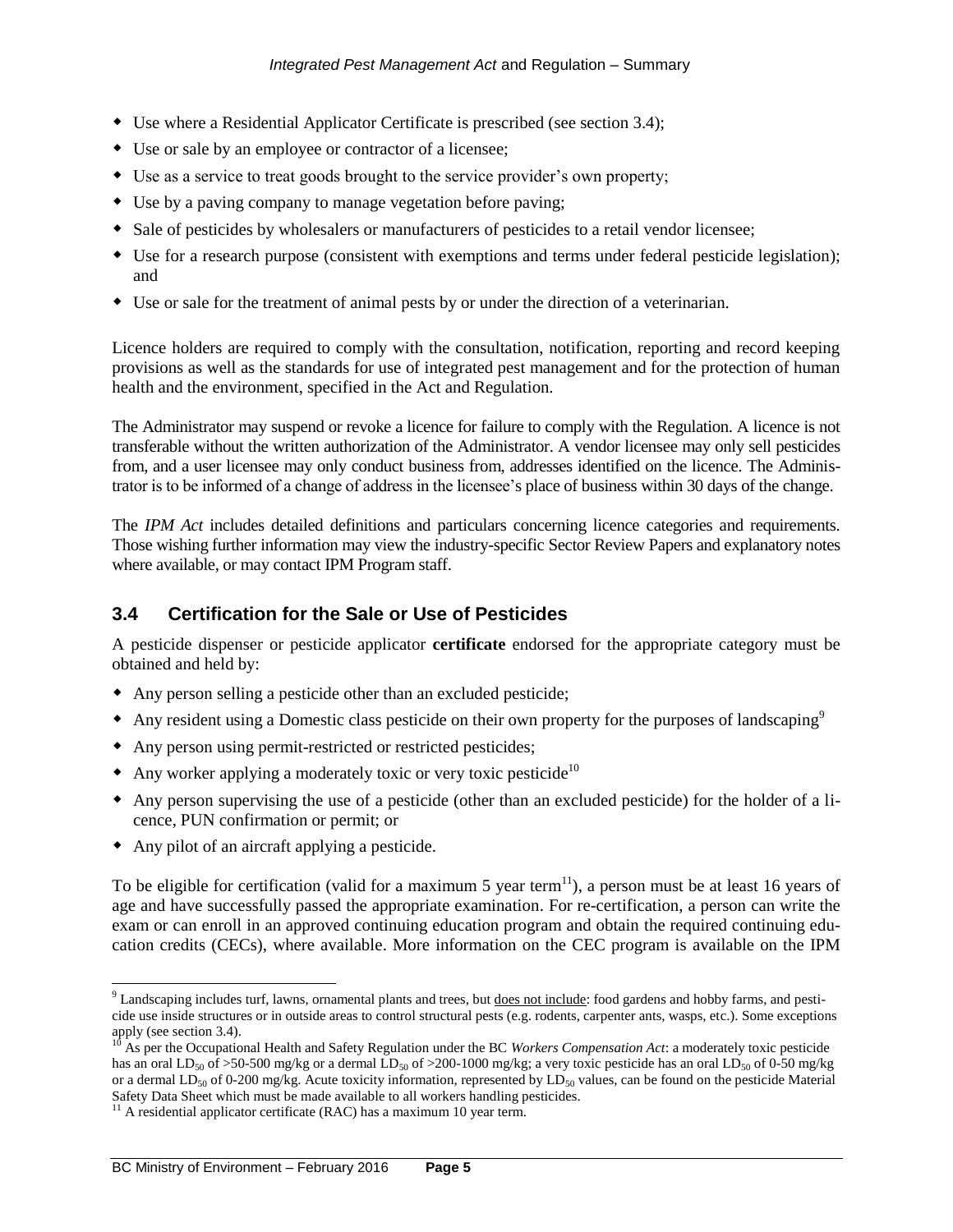- Use where a Residential Applicator Certificate is prescribed (see section 3.4);
- Use or sale by an employee or contractor of a licensee;
- Use as a service to treat goods brought to the service provider's own property;
- Use by a paving company to manage vegetation before paving;
- Sale of pesticides by wholesalers or manufacturers of pesticides to a retail vendor licensee;
- Use for a research purpose (consistent with exemptions and terms under federal pesticide legislation); and
- Use or sale for the treatment of animal pests by or under the direction of a veterinarian.

Licence holders are required to comply with the consultation, notification, reporting and record keeping provisions as well as the standards for use of integrated pest management and for the protection of human health and the environment, specified in the Act and Regulation.

The Administrator may suspend or revoke a licence for failure to comply with the Regulation. A licence is not transferable without the written authorization of the Administrator. A vendor licensee may only sell pesticides from, and a user licensee may only conduct business from, addresses identified on the licence. The Administrator is to be informed of a change of address in the licensee's place of business within 30 days of the change.

The *IPM Act* includes detailed definitions and particulars concerning licence categories and requirements. Those wishing further information may view the industry-specific Sector Review Papers and explanatory notes where available, or may contact IPM Program staff.

### <span id="page-6-0"></span>**3.4 Certification for the Sale or Use of Pesticides**

A pesticide dispenser or pesticide applicator **certificate** endorsed for the appropriate category must be obtained and held by:

- Any person selling a pesticide other than an excluded pesticide;
- $\bullet$  Any resident using a Domestic class pesticide on their own property for the purposes of landscaping<sup>9</sup>
- Any person using permit-restricted or restricted pesticides;
- $\bullet$  Any worker applying a moderately toxic or very toxic pesticide<sup>10</sup>
- Any person supervising the use of a pesticide (other than an excluded pesticide) for the holder of a licence, PUN confirmation or permit; or
- Any pilot of an aircraft applying a pesticide.

l

To be eligible for certification (valid for a maximum 5 year term<sup>11</sup>), a person must be at least 16 years of age and have successfully passed the appropriate examination. For re-certification, a person can write the exam or can enroll in an approved continuing education program and obtain the required continuing education credits (CECs), where available. More information on the CEC program is available on the IPM

<sup>&</sup>lt;sup>9</sup> Landscaping includes turf, lawns, ornamental plants and trees, but does not include: food gardens and hobby farms, and pesticide use inside structures or in outside areas to control structural pests (e.g. rodents, carpenter ants, wasps, etc.). Some exceptions apply (see section 3.4).

<sup>10</sup> As per the Occupational Health and Safety Regulation under the BC *Workers Compensation Act*: a moderately toxic pesticide has an oral LD<sub>50</sub> of >50-500 mg/kg or a dermal LD<sub>50</sub> of >200-1000 mg/kg; a very toxic pesticide has an oral LD<sub>50</sub> of 0-50 mg/kg or a dermal LD<sub>50</sub> of 0-200 mg/kg. Acute toxicity information, represented by LD<sub>50</sub> values, can be found on the pesticide Material Safety Data Sheet which must be made available to all workers handling pesticides.

 $11$  A residential applicator certificate (RAC) has a maximum 10 year term.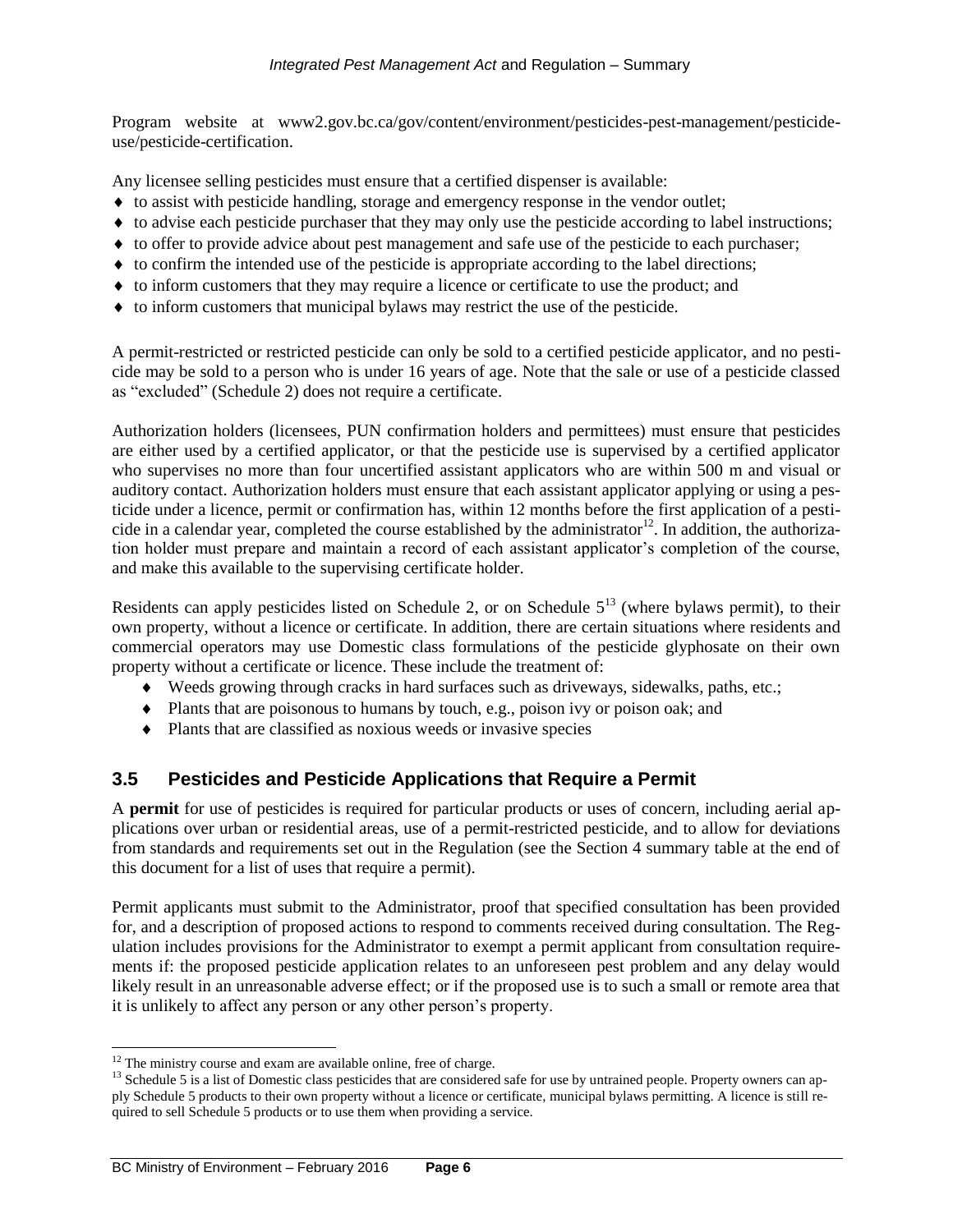Program website at www2.gov.bc.ca/gov/content/environment/pesticides-pest-management/pesticideuse/pesticide-certification.

Any licensee selling pesticides must ensure that a certified dispenser is available:

- to assist with pesticide handling, storage and emergency response in the vendor outlet;
- $\bullet$  to advise each pesticide purchaser that they may only use the pesticide according to label instructions;
- to offer to provide advice about pest management and safe use of the pesticide to each purchaser;
- $\bullet$  to confirm the intended use of the pesticide is appropriate according to the label directions;
- to inform customers that they may require a licence or certificate to use the product; and
- $\bullet$  to inform customers that municipal bylaws may restrict the use of the pesticide.

A permit-restricted or restricted pesticide can only be sold to a certified pesticide applicator, and no pesticide may be sold to a person who is under 16 years of age. Note that the sale or use of a pesticide classed as "excluded" (Schedule 2) does not require a certificate.

Authorization holders (licensees, PUN confirmation holders and permittees) must ensure that pesticides are either used by a certified applicator, or that the pesticide use is supervised by a certified applicator who supervises no more than four uncertified assistant applicators who are within 500 m and visual or auditory contact. Authorization holders must ensure that each assistant applicator applying or using a pesticide under a licence, permit or confirmation has, within 12 months before the first application of a pesticide in a calendar year, completed the course established by the administrator  $12$ . In addition, the authorization holder must prepare and maintain a record of each assistant applicator's completion of the course, and make this available to the supervising certificate holder.

Residents can apply pesticides listed on Schedule 2, or on Schedule  $5<sup>13</sup>$  (where bylaws permit), to their own property, without a licence or certificate. In addition, there are certain situations where residents and commercial operators may use Domestic class formulations of the pesticide glyphosate on their own property without a certificate or licence. These include the treatment of:

- Weeds growing through cracks in hard surfaces such as driveways, sidewalks, paths, etc.;
- Plants that are poisonous to humans by touch, e.g., poison ivy or poison oak; and
- Plants that are classified as noxious weeds or invasive species

### <span id="page-7-0"></span>**3.5 Pesticides and Pesticide Applications that Require a Permit**

A **permit** for use of pesticides is required for particular products or uses of concern, including aerial applications over urban or residential areas, use of a permit-restricted pesticide, and to allow for deviations from standards and requirements set out in the Regulation (see the Section 4 summary table at the end of this document for a list of uses that require a permit).

Permit applicants must submit to the Administrator, proof that specified consultation has been provided for, and a description of proposed actions to respond to comments received during consultation. The Regulation includes provisions for the Administrator to exempt a permit applicant from consultation requirements if: the proposed pesticide application relates to an unforeseen pest problem and any delay would likely result in an unreasonable adverse effect; or if the proposed use is to such a small or remote area that it is unlikely to affect any person or any other person's property.

<sup>&</sup>lt;sup>12</sup> The ministry course and exam are available online, free of charge.

<sup>&</sup>lt;sup>13</sup> Schedule 5 is a list of Domestic class pesticides that are considered safe for use by untrained people. Property owners can apply Schedule 5 products to their own property without a licence or certificate, municipal bylaws permitting. A licence is still required to sell Schedule 5 products or to use them when providing a service.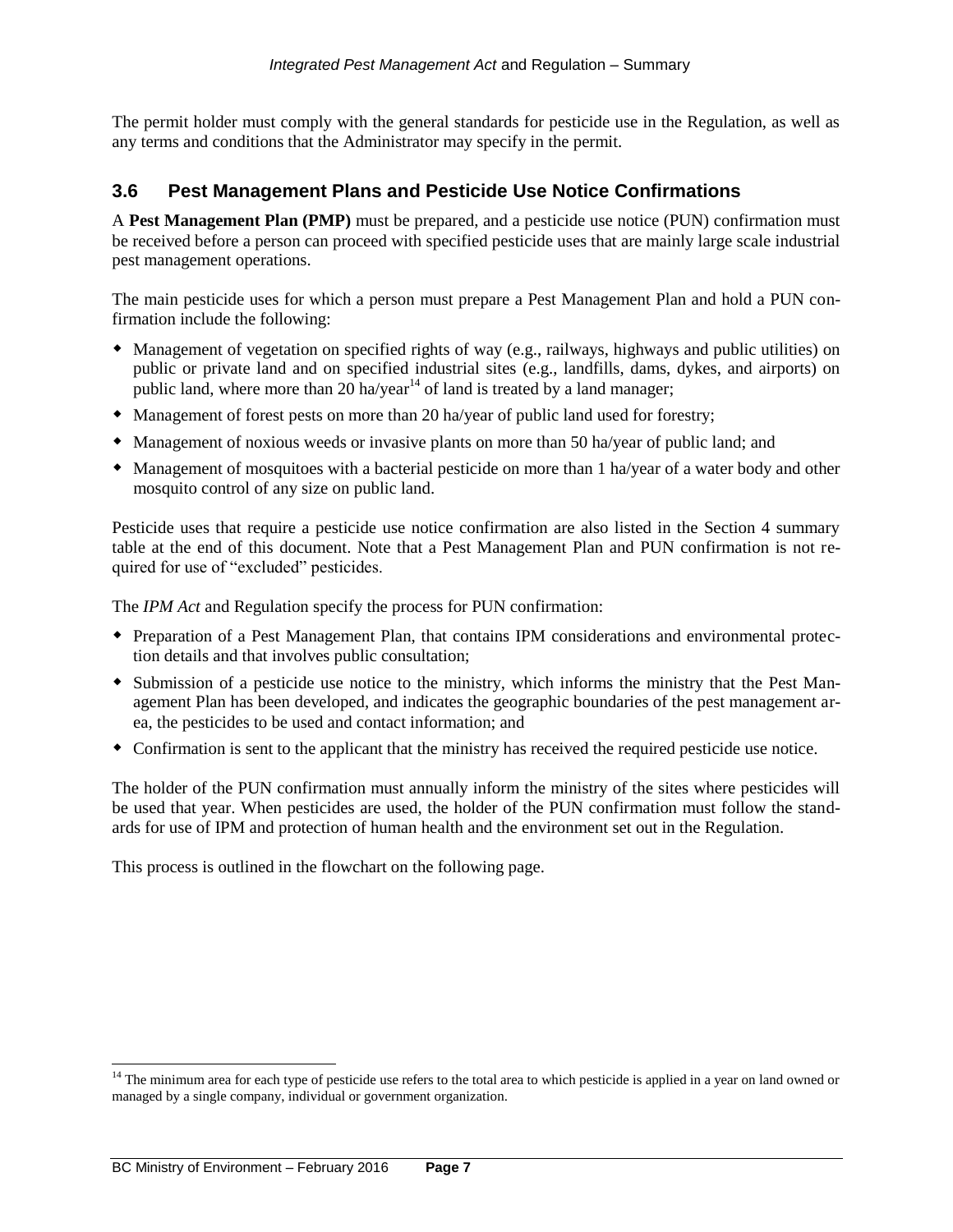The permit holder must comply with the general standards for pesticide use in the Regulation, as well as any terms and conditions that the Administrator may specify in the permit.

## <span id="page-8-0"></span>**3.6 Pest Management Plans and Pesticide Use Notice Confirmations**

A **Pest Management Plan (PMP)** must be prepared, and a pesticide use notice (PUN) confirmation must be received before a person can proceed with specified pesticide uses that are mainly large scale industrial pest management operations.

The main pesticide uses for which a person must prepare a Pest Management Plan and hold a PUN confirmation include the following:

- Management of vegetation on specified rights of way (e.g., railways, highways and public utilities) on public or private land and on specified industrial sites (e.g., landfills, dams, dykes, and airports) on public land, where more than  $20$  ha/year<sup>14</sup> of land is treated by a land manager;
- Management of forest pests on more than 20 ha/year of public land used for forestry;
- Management of noxious weeds or invasive plants on more than 50 ha/year of public land; and
- Management of mosquitoes with a bacterial pesticide on more than 1 ha/year of a water body and other mosquito control of any size on public land.

Pesticide uses that require a pesticide use notice confirmation are also listed in the Section 4 summary table at the end of this document. Note that a Pest Management Plan and PUN confirmation is not required for use of "excluded" pesticides.

The *IPM Act* and Regulation specify the process for PUN confirmation:

- Preparation of a Pest Management Plan, that contains IPM considerations and environmental protection details and that involves public consultation;
- Submission of a pesticide use notice to the ministry, which informs the ministry that the Pest Management Plan has been developed, and indicates the geographic boundaries of the pest management area, the pesticides to be used and contact information; and
- Confirmation is sent to the applicant that the ministry has received the required pesticide use notice.

The holder of the PUN confirmation must annually inform the ministry of the sites where pesticides will be used that year. When pesticides are used, the holder of the PUN confirmation must follow the standards for use of IPM and protection of human health and the environment set out in the Regulation.

This process is outlined in the flowchart on the following page.

 $\overline{a}$ 

<sup>&</sup>lt;sup>14</sup> The minimum area for each type of pesticide use refers to the total area to which pesticide is applied in a year on land owned or managed by a single company, individual or government organization.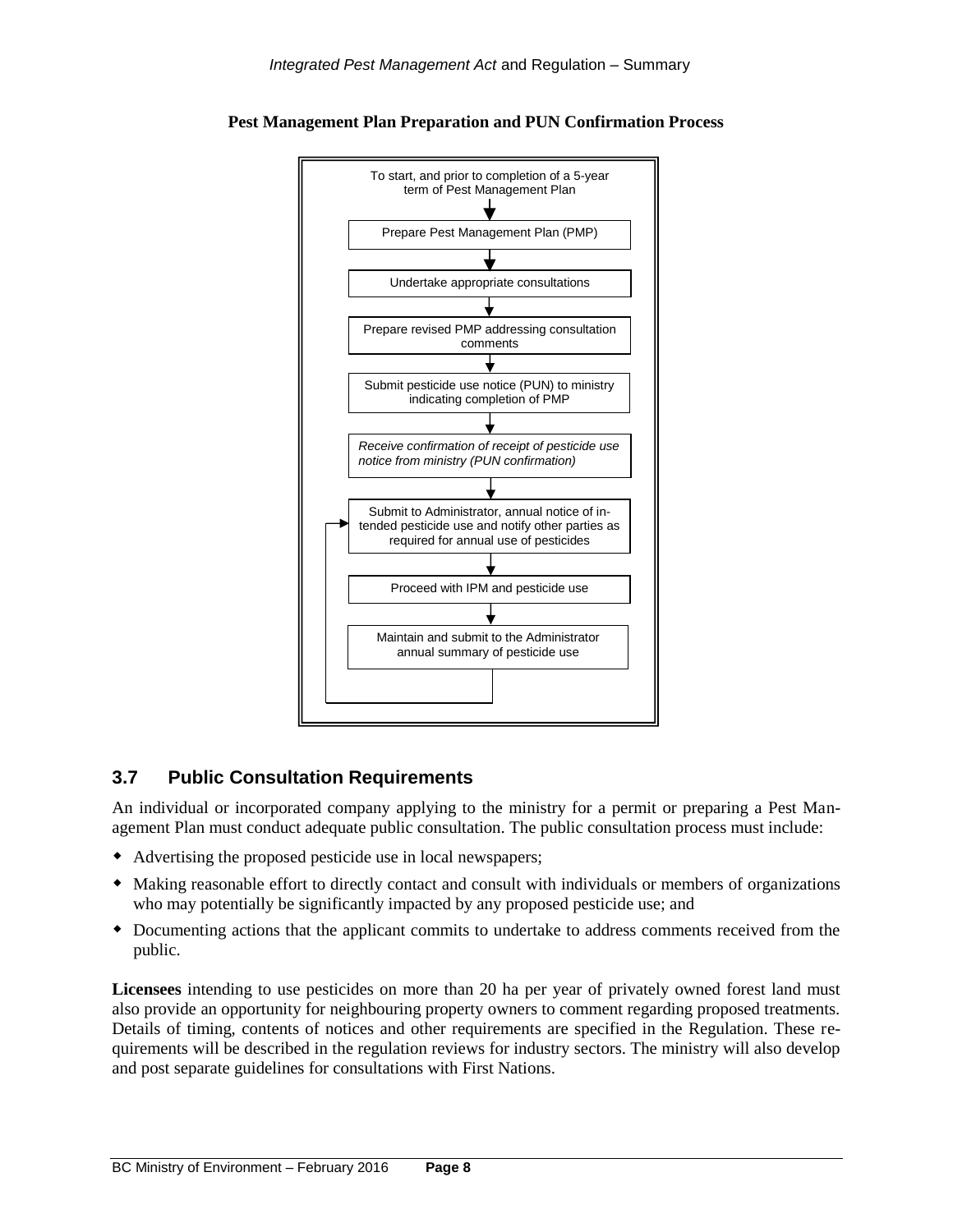



# <span id="page-9-0"></span>**3.7 Public Consultation Requirements**

An individual or incorporated company applying to the ministry for a permit or preparing a Pest Management Plan must conduct adequate public consultation. The public consultation process must include:

- Advertising the proposed pesticide use in local newspapers;
- Making reasonable effort to directly contact and consult with individuals or members of organizations who may potentially be significantly impacted by any proposed pesticide use; and
- Documenting actions that the applicant commits to undertake to address comments received from the public.

**Licensees** intending to use pesticides on more than 20 ha per year of privately owned forest land must also provide an opportunity for neighbouring property owners to comment regarding proposed treatments. Details of timing, contents of notices and other requirements are specified in the Regulation. These requirements will be described in the regulation reviews for industry sectors. The ministry will also develop and post separate guidelines for consultations with First Nations.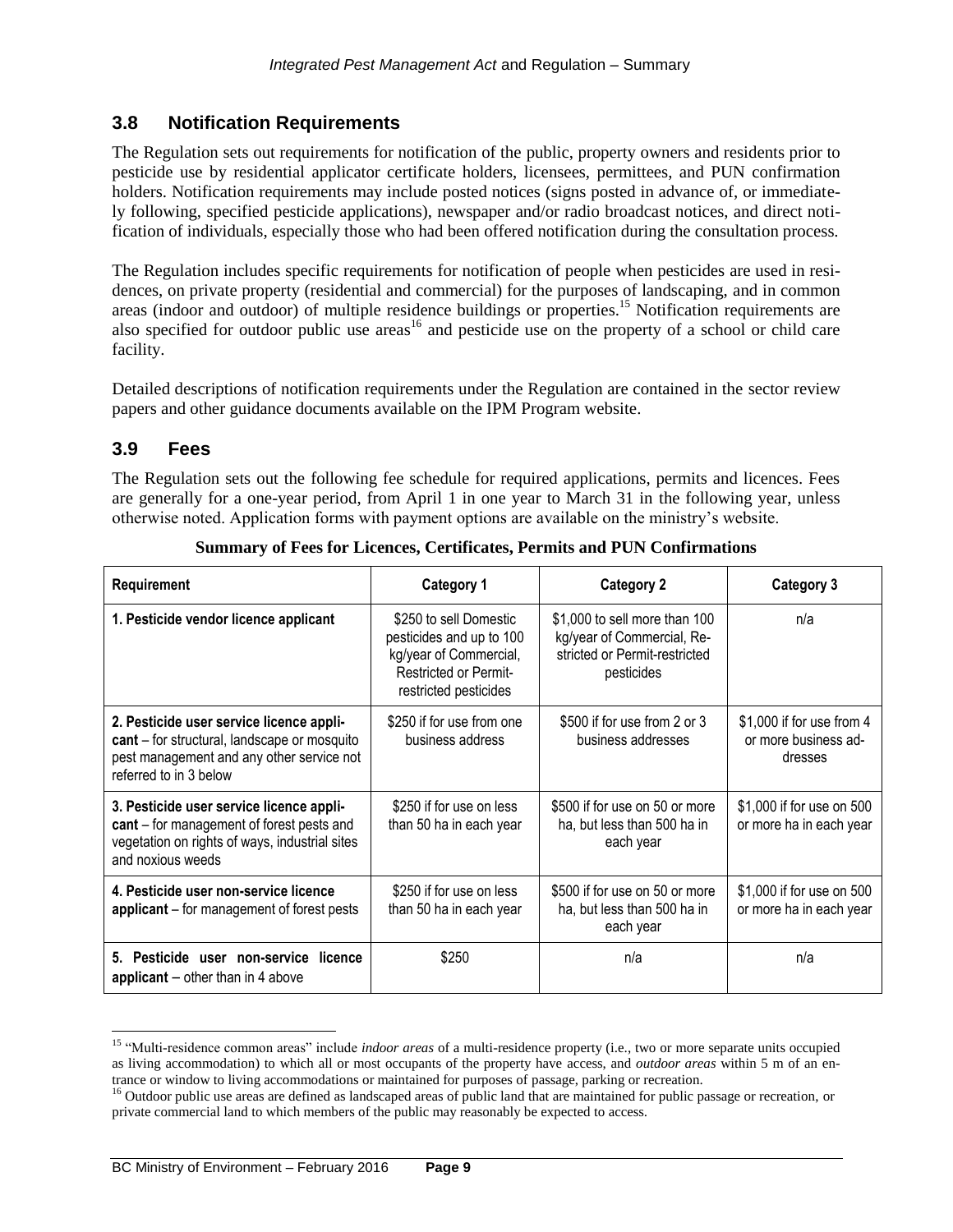### <span id="page-10-0"></span>**3.8 Notification Requirements**

The Regulation sets out requirements for notification of the public, property owners and residents prior to pesticide use by residential applicator certificate holders, licensees, permittees, and PUN confirmation holders. Notification requirements may include posted notices (signs posted in advance of, or immediately following, specified pesticide applications), newspaper and/or radio broadcast notices, and direct notification of individuals, especially those who had been offered notification during the consultation process.

The Regulation includes specific requirements for notification of people when pesticides are used in residences, on private property (residential and commercial) for the purposes of landscaping, and in common areas (indoor and outdoor) of multiple residence buildings or properties.<sup>15</sup> Notification requirements are also specified for outdoor public use areas<sup>16</sup> and pesticide use on the property of a school or child care facility.

Detailed descriptions of notification requirements under the Regulation are contained in the sector review papers and other guidance documents available on the IPM Program website.

### <span id="page-10-1"></span>**3.9 Fees**

l

The Regulation sets out the following fee schedule for required applications, permits and licences. Fees are generally for a one-year period, from April 1 in one year to March 31 in the following year, unless otherwise noted. Application forms with payment options are available on the ministry's website.

| Requirement                                                                                                                                                     | Category 1                                                                                                                     | <b>Category 2</b>                                                                                          | Category 3                                                   |  |
|-----------------------------------------------------------------------------------------------------------------------------------------------------------------|--------------------------------------------------------------------------------------------------------------------------------|------------------------------------------------------------------------------------------------------------|--------------------------------------------------------------|--|
| 1. Pesticide vendor licence applicant                                                                                                                           | \$250 to sell Domestic<br>pesticides and up to 100<br>kg/year of Commercial,<br>Restricted or Permit-<br>restricted pesticides | \$1,000 to sell more than 100<br>kg/year of Commercial, Re-<br>stricted or Permit-restricted<br>pesticides | n/a                                                          |  |
| 2. Pesticide user service licence appli-<br>cant – for structural, landscape or mosquito<br>pest management and any other service not<br>referred to in 3 below | \$250 if for use from one<br>business address                                                                                  | \$500 if for use from 2 or 3<br>business addresses                                                         | \$1,000 if for use from 4<br>or more business ad-<br>dresses |  |
| 3. Pesticide user service licence appli-<br>cant – for management of forest pests and<br>vegetation on rights of ways, industrial sites<br>and noxious weeds    | \$250 if for use on less<br>than 50 ha in each year                                                                            | \$500 if for use on 50 or more<br>ha, but less than 500 ha in<br>each year                                 | \$1,000 if for use on 500<br>or more ha in each year         |  |
| 4. Pesticide user non-service licence<br>applicant - for management of forest pests                                                                             | \$250 if for use on less<br>than 50 ha in each year                                                                            | \$500 if for use on 50 or more<br>ha, but less than 500 ha in<br>each year                                 | \$1,000 if for use on 500<br>or more ha in each year         |  |
| 5. Pesticide user non-service licence<br>applicant $-$ other than in 4 above                                                                                    | \$250                                                                                                                          | n/a                                                                                                        | n/a                                                          |  |

**Summary of Fees for Licences, Certificates, Permits and PUN Confirmations**

<sup>15</sup> "Multi-residence common areas" include *indoor areas* of a multi-residence property (i.e., two or more separate units occupied as living accommodation) to which all or most occupants of the property have access, and *outdoor areas* within 5 m of an entrance or window to living accommodations or maintained for purposes of passage, parking or recreation.

<sup>&</sup>lt;sup>16</sup> Outdoor public use areas are defined as landscaped areas of public land that are maintained for public passage or recreation, or private commercial land to which members of the public may reasonably be expected to access.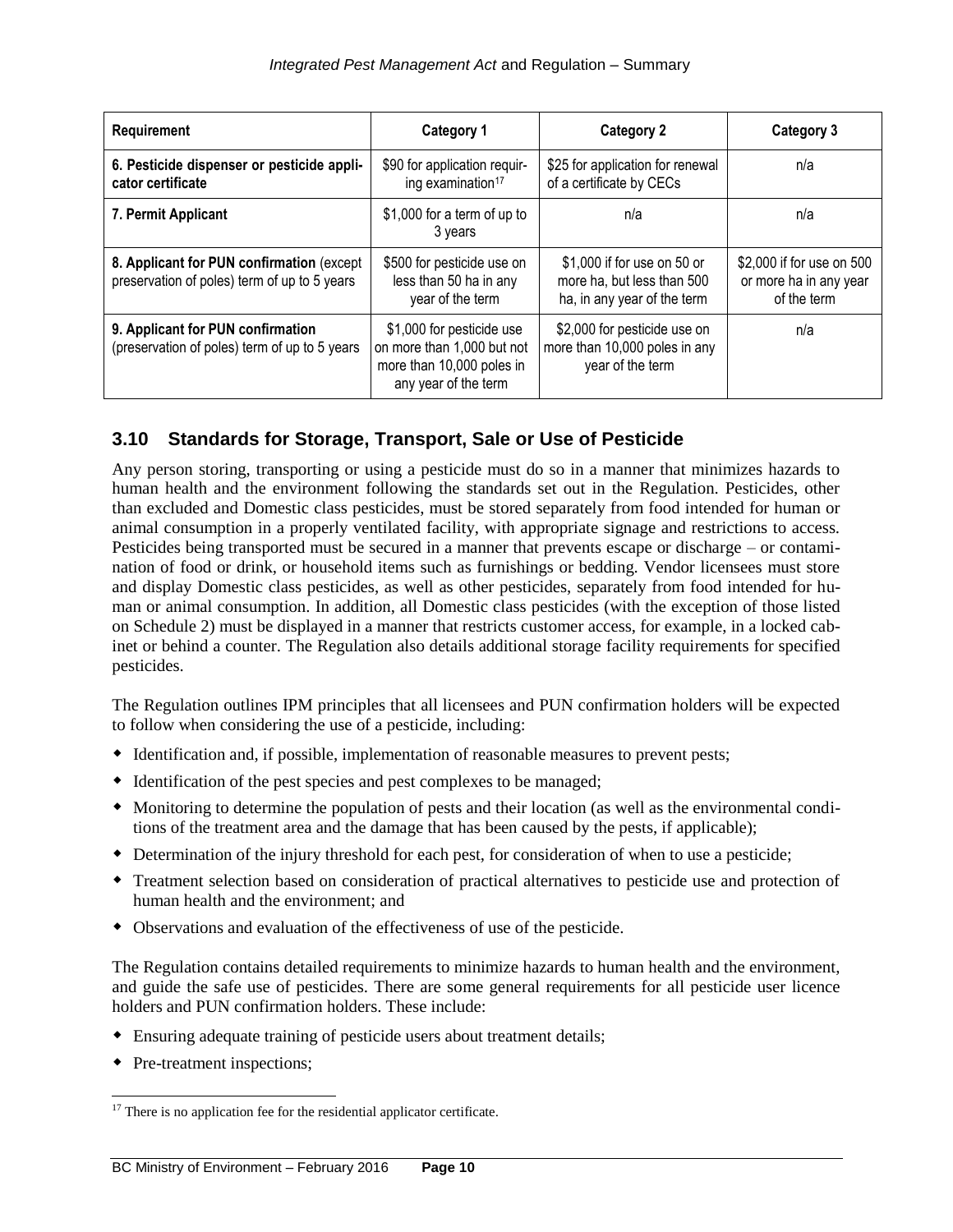| Requirement                                                                                | Category 1                                                                                                   | <b>Category 2</b>                                                                        | Category 3                                                         |
|--------------------------------------------------------------------------------------------|--------------------------------------------------------------------------------------------------------------|------------------------------------------------------------------------------------------|--------------------------------------------------------------------|
| 6. Pesticide dispenser or pesticide appli-<br>cator certificate                            | \$90 for application requir-<br>ing examination <sup>17</sup>                                                | \$25 for application for renewal<br>of a certificate by CECs                             | n/a                                                                |
| 7. Permit Applicant                                                                        | \$1,000 for a term of up to<br>3 years                                                                       | n/a                                                                                      | n/a                                                                |
| 8. Applicant for PUN confirmation (except)<br>preservation of poles) term of up to 5 years | \$500 for pesticide use on<br>less than 50 ha in any<br>year of the term                                     | \$1,000 if for use on 50 or<br>more ha, but less than 500<br>ha, in any year of the term | \$2,000 if for use on 500<br>or more ha in any year<br>of the term |
| 9. Applicant for PUN confirmation<br>(preservation of poles) term of up to 5 years         | \$1,000 for pesticide use<br>on more than 1,000 but not<br>more than 10,000 poles in<br>any year of the term | \$2,000 for pesticide use on<br>more than 10,000 poles in any<br>year of the term        | n/a                                                                |

# <span id="page-11-0"></span>**3.10 Standards for Storage, Transport, Sale or Use of Pesticide**

Any person storing, transporting or using a pesticide must do so in a manner that minimizes hazards to human health and the environment following the standards set out in the Regulation. Pesticides, other than excluded and Domestic class pesticides, must be stored separately from food intended for human or animal consumption in a properly ventilated facility, with appropriate signage and restrictions to access. Pesticides being transported must be secured in a manner that prevents escape or discharge – or contamination of food or drink, or household items such as furnishings or bedding. Vendor licensees must store and display Domestic class pesticides, as well as other pesticides, separately from food intended for human or animal consumption. In addition, all Domestic class pesticides (with the exception of those listed on Schedule 2) must be displayed in a manner that restricts customer access, for example, in a locked cabinet or behind a counter. The Regulation also details additional storage facility requirements for specified pesticides.

The Regulation outlines IPM principles that all licensees and PUN confirmation holders will be expected to follow when considering the use of a pesticide, including:

- Identification and, if possible, implementation of reasonable measures to prevent pests;
- $\bullet$  Identification of the pest species and pest complexes to be managed;
- Monitoring to determine the population of pests and their location (as well as the environmental conditions of the treatment area and the damage that has been caused by the pests, if applicable);
- Determination of the injury threshold for each pest, for consideration of when to use a pesticide;
- Treatment selection based on consideration of practical alternatives to pesticide use and protection of human health and the environment; and
- Observations and evaluation of the effectiveness of use of the pesticide.

The Regulation contains detailed requirements to minimize hazards to human health and the environment, and guide the safe use of pesticides. There are some general requirements for all pesticide user licence holders and PUN confirmation holders. These include:

- Ensuring adequate training of pesticide users about treatment details;
- Pre-treatment inspections:

 $\overline{a}$  $17$  There is no application fee for the residential applicator certificate.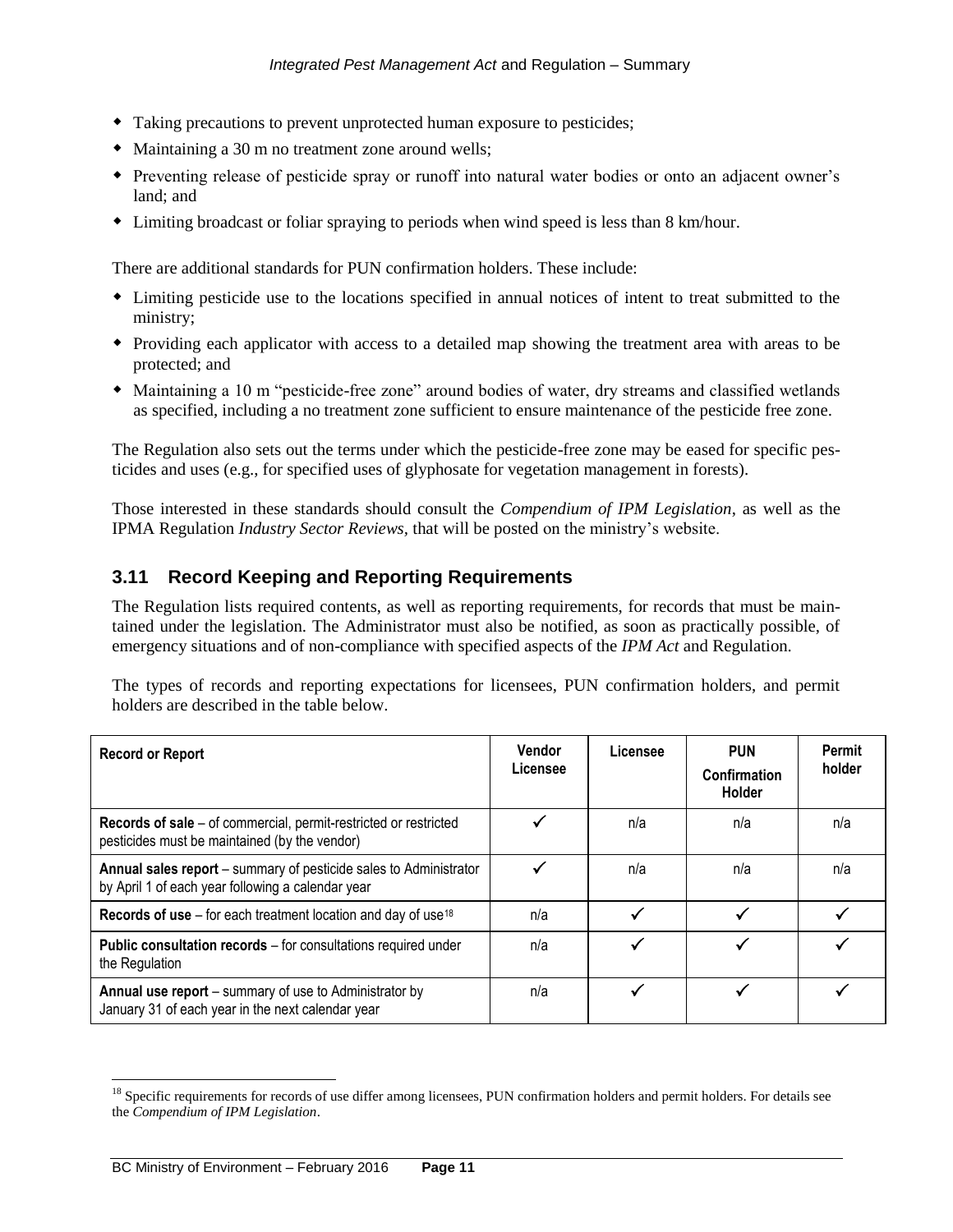- Taking precautions to prevent unprotected human exposure to pesticides;
- Maintaining a 30 m no treatment zone around wells;
- Preventing release of pesticide spray or runoff into natural water bodies or onto an adjacent owner's land; and
- Limiting broadcast or foliar spraying to periods when wind speed is less than 8 km/hour.

There are additional standards for PUN confirmation holders. These include:

- Limiting pesticide use to the locations specified in annual notices of intent to treat submitted to the ministry;
- Providing each applicator with access to a detailed map showing the treatment area with areas to be protected; and
- Maintaining a 10 m "pesticide-free zone" around bodies of water, dry streams and classified wetlands as specified, including a no treatment zone sufficient to ensure maintenance of the pesticide free zone.

The Regulation also sets out the terms under which the pesticide-free zone may be eased for specific pesticides and uses (e.g., for specified uses of glyphosate for vegetation management in forests).

Those interested in these standards should consult the *Compendium of IPM Legislation*, as well as the IPMA Regulation *Industry Sector Reviews,* that will be posted on the ministry's website.

# <span id="page-12-0"></span>**3.11 Record Keeping and Reporting Requirements**

The Regulation lists required contents, as well as reporting requirements, for records that must be maintained under the legislation. The Administrator must also be notified, as soon as practically possible, of emergency situations and of non-compliance with specified aspects of the *IPM Act* and Regulation.

The types of records and reporting expectations for licensees, PUN confirmation holders, and permit holders are described in the table below.

| <b>Record or Report</b>                                                                                                | <b>Vendor</b><br>Licensee | Licensee | <b>PUN</b><br>Confirmation<br>Holder | Permit<br>holder |
|------------------------------------------------------------------------------------------------------------------------|---------------------------|----------|--------------------------------------|------------------|
| Records of sale – of commercial, permit-restricted or restricted<br>pesticides must be maintained (by the vendor)      |                           | n/a      | n/a                                  | n/a              |
| Annual sales report – summary of pesticide sales to Administrator<br>by April 1 of each year following a calendar year |                           | n/a      | n/a                                  | n/a              |
| <b>Records of use</b> – for each treatment location and day of use <sup>18</sup>                                       | n/a                       |          |                                      |                  |
| <b>Public consultation records</b> – for consultations required under<br>the Regulation                                | n/a                       |          |                                      |                  |
| Annual use report – summary of use to Administrator by<br>January 31 of each year in the next calendar year            | n/a                       |          |                                      |                  |

<sup>&</sup>lt;sup>18</sup> Specific requirements for records of use differ among licensees, PUN confirmation holders and permit holders. For details see the *Compendium of IPM Legislation*.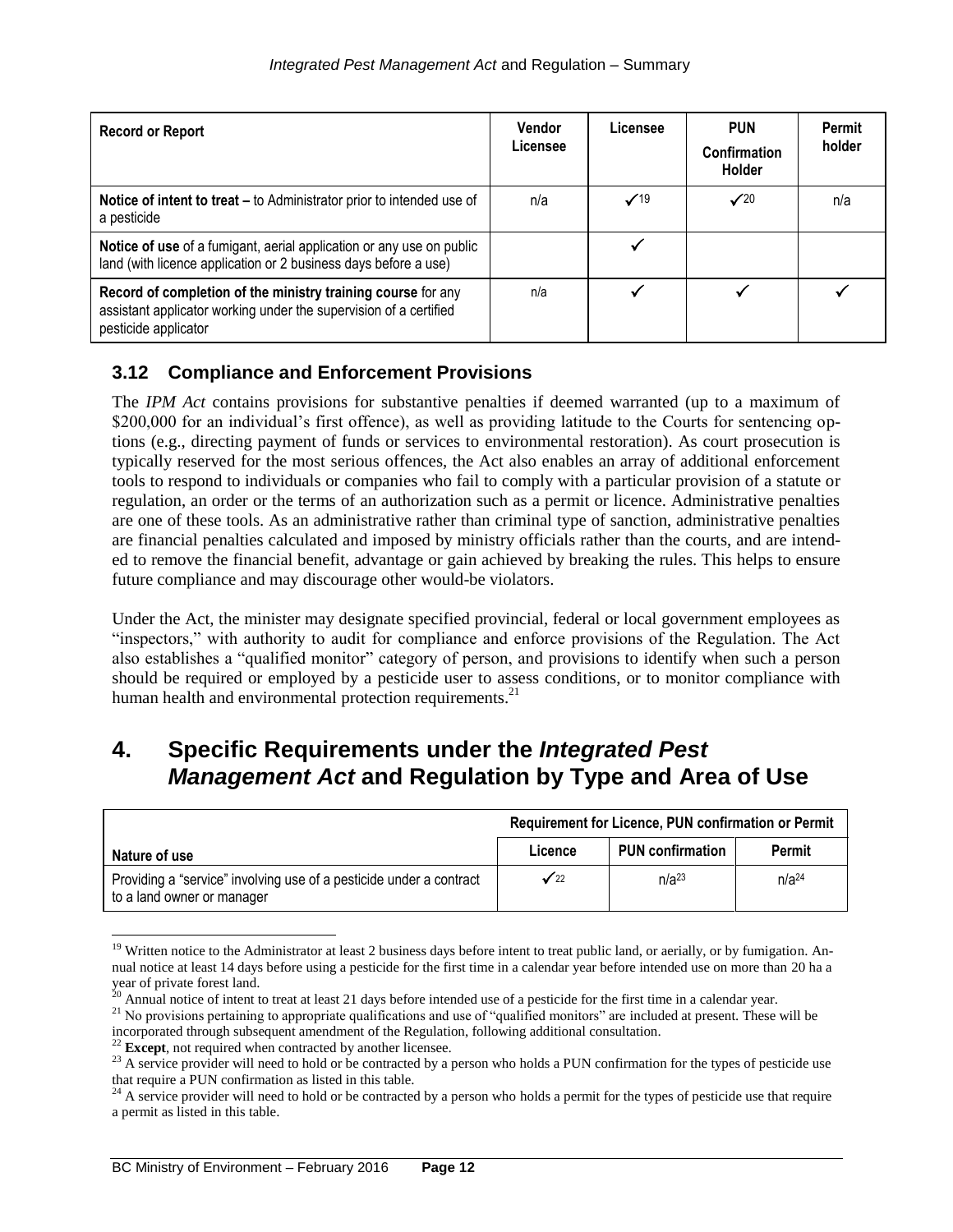| <b>Record or Report</b>                                                                                                                                   | <b>Vendor</b><br>Licensee | Licensee        | <b>PUN</b><br><b>Confirmation</b><br>Holder | Permit<br>holder |
|-----------------------------------------------------------------------------------------------------------------------------------------------------------|---------------------------|-----------------|---------------------------------------------|------------------|
| Notice of intent to treat - to Administrator prior to intended use of<br>a pesticide                                                                      | n/a                       | $\checkmark$ 19 | $\checkmark$ 20                             | n/a              |
| Notice of use of a fumigant, aerial application or any use on public<br>land (with licence application or 2 business days before a use)                   |                           |                 |                                             |                  |
| Record of completion of the ministry training course for any<br>assistant applicator working under the supervision of a certified<br>pesticide applicator | n/a                       |                 |                                             |                  |

# <span id="page-13-0"></span>**3.12 Compliance and Enforcement Provisions**

The *IPM Act* contains provisions for substantive penalties if deemed warranted (up to a maximum of \$200,000 for an individual's first offence), as well as providing latitude to the Courts for sentencing options (e.g., directing payment of funds or services to environmental restoration). As court prosecution is typically reserved for the most serious offences, the Act also enables an array of additional enforcement tools to respond to individuals or companies who fail to comply with a particular provision of a statute or regulation, an order or the terms of an authorization such as a permit or licence. Administrative penalties are one of these tools. As an administrative rather than criminal type of sanction, administrative penalties are financial penalties calculated and imposed by ministry officials rather than the courts, and are intended to remove the financial benefit, advantage or gain achieved by breaking the rules. This helps to ensure future compliance and may discourage other would-be violators.

Under the Act, the minister may designate specified provincial, federal or local government employees as "inspectors," with authority to audit for compliance and enforce provisions of the Regulation. The Act also establishes a "qualified monitor" category of person, and provisions to identify when such a person should be required or employed by a pesticide user to assess conditions, or to monitor compliance with human health and environmental protection requirements.<sup>21</sup>

# <span id="page-13-1"></span>**4. Specific Requirements under the** *Integrated Pest Management Act* **and Regulation by Type and Area of Use**

|                                                                                                   | Requirement for Licence, PUN confirmation or Permit |                         |                   |  |
|---------------------------------------------------------------------------------------------------|-----------------------------------------------------|-------------------------|-------------------|--|
| Nature of use                                                                                     | Licence                                             | <b>PUN confirmation</b> | Permit            |  |
| Providing a "service" involving use of a pesticide under a contract<br>to a land owner or manager | $\checkmark$ 22                                     | n/a <sup>23</sup>       | n/a <sup>24</sup> |  |

l <sup>19</sup> Written notice to the Administrator at least 2 business days before intent to treat public land, or aerially, or by fumigation. Annual notice at least 14 days before using a pesticide for the first time in a calendar year before intended use on more than 20 ha a year of private forest land.

Annual notice of intent to treat at least 21 days before intended use of a pesticide for the first time in a calendar year.

<sup>&</sup>lt;sup>21</sup> No provisions pertaining to appropriate qualifications and use of "qualified monitors" are included at present. These will be incorporated through subsequent amendment of the Regulation, following additional consultation.

<sup>&</sup>lt;sup>22</sup> **Except**, not required when contracted by another licensee.

<sup>&</sup>lt;sup>23</sup> A service provider will need to hold or be contracted by a person who holds a PUN confirmation for the types of pesticide use that require a PUN confirmation as listed in this table.

 $^{24}$  A service provider will need to hold or be contracted by a person who holds a permit for the types of pesticide use that require a permit as listed in this table.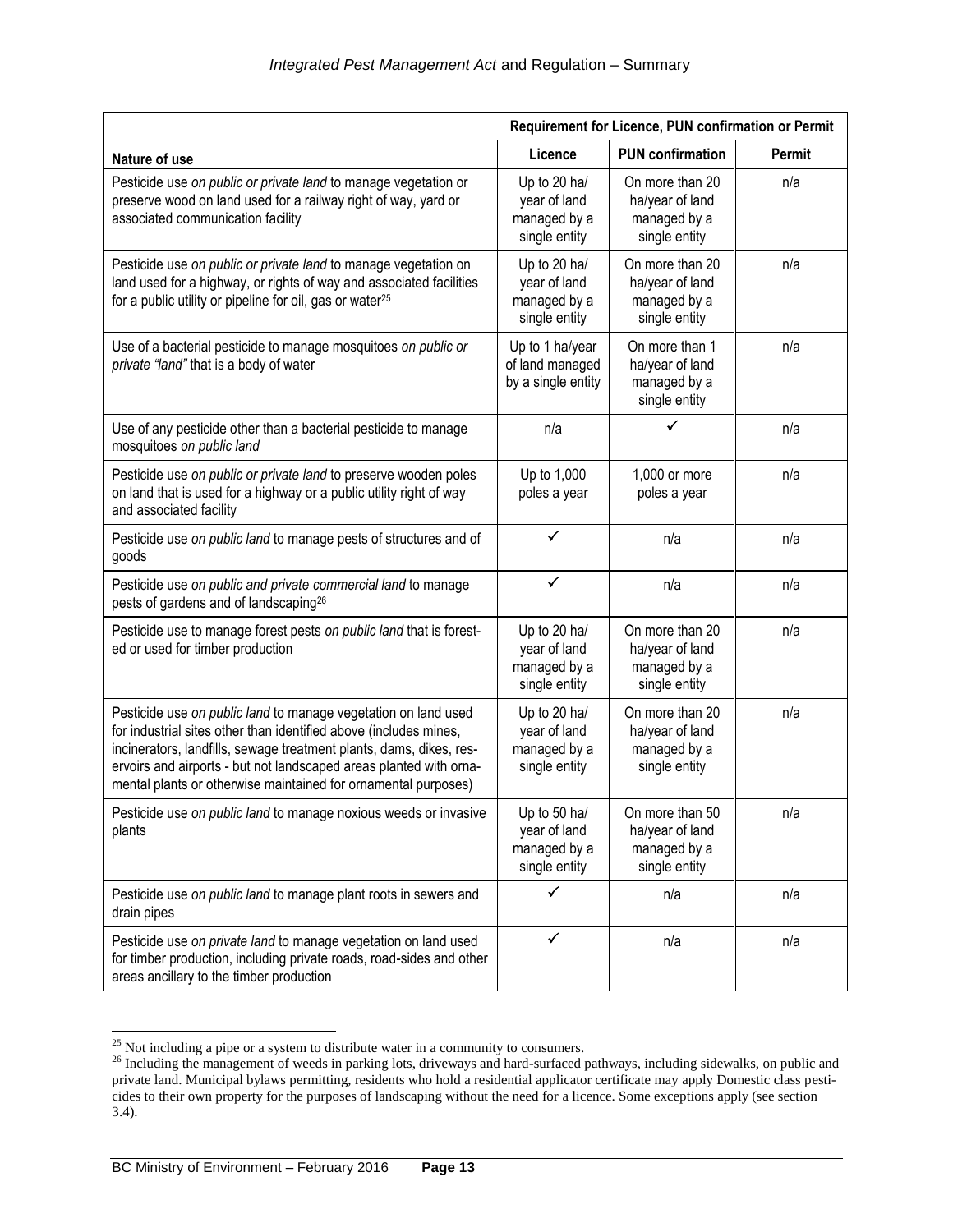|                                                                                                                                                                                                                                                                                                                                                    | Requirement for Licence, PUN confirmation or Permit           |                                                                     |               |  |
|----------------------------------------------------------------------------------------------------------------------------------------------------------------------------------------------------------------------------------------------------------------------------------------------------------------------------------------------------|---------------------------------------------------------------|---------------------------------------------------------------------|---------------|--|
| Nature of use                                                                                                                                                                                                                                                                                                                                      | Licence                                                       | <b>PUN confirmation</b>                                             | <b>Permit</b> |  |
| Pesticide use on public or private land to manage vegetation or<br>preserve wood on land used for a railway right of way, yard or<br>associated communication facility                                                                                                                                                                             | Up to 20 ha/<br>year of land<br>managed by a<br>single entity | On more than 20<br>ha/year of land<br>managed by a<br>single entity | n/a           |  |
| Pesticide use on public or private land to manage vegetation on<br>land used for a highway, or rights of way and associated facilities<br>for a public utility or pipeline for oil, gas or water <sup>25</sup>                                                                                                                                     | Up to 20 ha/<br>year of land<br>managed by a<br>single entity | On more than 20<br>ha/year of land<br>managed by a<br>single entity | n/a           |  |
| Use of a bacterial pesticide to manage mosquitoes on public or<br>private "land" that is a body of water                                                                                                                                                                                                                                           | Up to 1 ha/year<br>of land managed<br>by a single entity      | On more than 1<br>ha/year of land<br>managed by a<br>single entity  | n/a           |  |
| Use of any pesticide other than a bacterial pesticide to manage<br>mosquitoes on public land                                                                                                                                                                                                                                                       | n/a                                                           |                                                                     | n/a           |  |
| Pesticide use on public or private land to preserve wooden poles<br>on land that is used for a highway or a public utility right of way<br>and associated facility                                                                                                                                                                                 | Up to 1,000<br>poles a year                                   | 1,000 or more<br>poles a year                                       | n/a           |  |
| Pesticide use on public land to manage pests of structures and of<br>goods                                                                                                                                                                                                                                                                         | $\checkmark$                                                  | n/a                                                                 | n/a           |  |
| Pesticide use on public and private commercial land to manage<br>pests of gardens and of landscaping <sup>26</sup>                                                                                                                                                                                                                                 | $\checkmark$                                                  | n/a                                                                 | n/a           |  |
| Pesticide use to manage forest pests on public land that is forest-<br>ed or used for timber production                                                                                                                                                                                                                                            | Up to 20 ha/<br>year of land<br>managed by a<br>single entity | On more than 20<br>ha/year of land<br>managed by a<br>single entity | n/a           |  |
| Pesticide use on public land to manage vegetation on land used<br>for industrial sites other than identified above (includes mines,<br>incinerators, landfills, sewage treatment plants, dams, dikes, res-<br>ervoirs and airports - but not landscaped areas planted with orna-<br>mental plants or otherwise maintained for ornamental purposes) | Up to 20 ha/<br>year of land<br>managed by a<br>single entity | On more than 20<br>ha/year of land<br>managed by a<br>single entity | n/a           |  |
| Pesticide use on public land to manage noxious weeds or invasive<br>plants                                                                                                                                                                                                                                                                         | Up to 50 ha/<br>year of land<br>managed by a<br>single entity | On more than 50<br>ha/year of land<br>managed by a<br>single entity | n/a           |  |
| Pesticide use on public land to manage plant roots in sewers and<br>drain pipes                                                                                                                                                                                                                                                                    | ✓                                                             | n/a                                                                 | n/a           |  |
| Pesticide use on private land to manage vegetation on land used<br>for timber production, including private roads, road-sides and other<br>areas ancillary to the timber production                                                                                                                                                                | ✓                                                             | n/a                                                                 | n/a           |  |

 $25$  Not including a pipe or a system to distribute water in a community to consumers.

<sup>&</sup>lt;sup>26</sup> Including the management of weeds in parking lots, driveways and hard-surfaced pathways, including sidewalks, on public and private land. Municipal bylaws permitting, residents who hold a residential applicator certificate may apply Domestic class pesticides to their own property for the purposes of landscaping without the need for a licence. Some exceptions apply (see section 3.4).